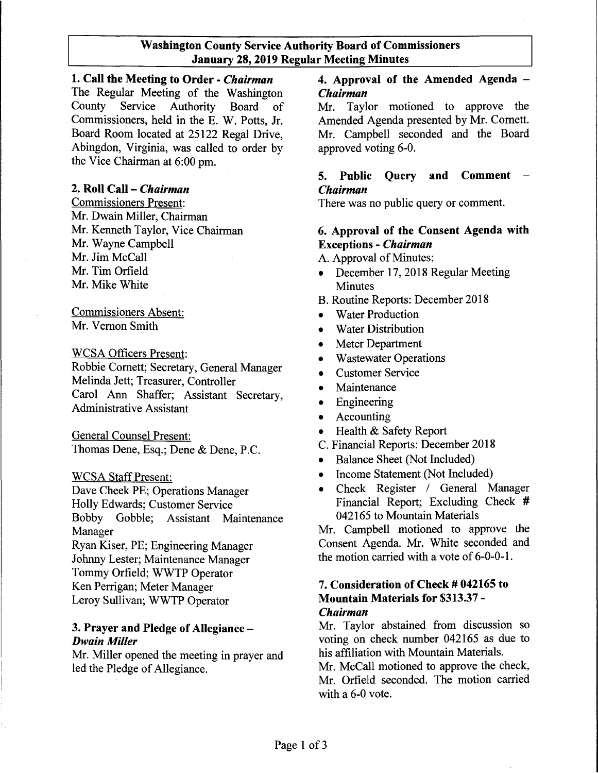#### Washington County Service Authority Board of Commissioners January 28, 2019 Regular Meeting Minutes

### 1. Call the Meeting to Order - *Chairman* 4. Approval of the Amended Agenda - The Regular Meeting of the Washington *Chairman* County Service Authority Board of Mr. Taylor motioned to approve the Commissioners, held in the E. W. Potts, Jr. Amended Agenda presented by Mr. Cornett. Board Room located at 25122 Regal Drive, Mr. Campbell seconded and the Board Abingdon, Virginia, was called to order by approved voting 6-0. the Vice Chairman at 6:00 pm.

#### 2. Roll Call- *Chairman*

Commissioners Present: Mr. Dwain Miller, Chairman Mr. Kenneth Taylor, Vice Chairman Mr. Wayne Campbell Mr. Jim McCall Mr. Tim Orfield Mr. Mike White

Commissioners Absent: Mr. Vernon Smith

WCSA Officers Present:

Robbie Cornett; Secretary, General Manager Melinda Jett; Treasurer, Controller Carol Ann Shaffer; Assistant Secretary, Administrative Assistant

General Counsel Present: Thomas Dene, Esq.; Dene & Dene, P.C.

#### WCSA Staff Present:

Dave Cheek PE; Operations Manager Holly Edwards; Customer Service Bobby Gobble; Assistant Maintenance Manager

Ryan Kiser, PE; Engineering Manager Johnny Lester; Maintenance Manager Tommy Orfield; WWTP Operator Ken Perrigan; Meter Manager Leroy Sullivan; WWTP Operator

#### 3. Prayer and Pledge of Allegiance - *Dwain Miller*

Mr. Miller opened the meeting in prayer and led the Pledge of Allegiance.

#### 5. Public Query and Comment - *Chairman*

There was no public query or comment.

#### 6. Approval of the Consent Agenda with Exceptions - *Chairman*

A. Approval of Minutes:

- December 17, 2018 Regular Meeting Minutes
- B. Routine Reports: December 2018
- **Water Production**
- Water Distribution
- Meter Department
- Wastewater Operations
- Customer Service
- Maintenance
- Engineering
- Accounting
- Health & Safety Report
- C. Financial Reports: December 2018
- Balance Sheet (Not Included)
- Income Statement (Not Included)
- Check Register / General Manager Financial Report; Excluding Check # 042165 to Mountain Materials

Mr. Campbell motioned to approve the Consent Agenda. Mr. White seconded and the motion carried with a vote of 6-0-0-1.

#### 7. Consideration of Check # 042165 to Mountain Materials for \$313.37 - *Chairman*

Mr. Taylor abstained from discussion so voting on check number 042165 as due to his affiliation with Mountain Materials.

Mr. McCall motioned to approve the check, Mr. Orfield seconded. The motion carried with a 6-0 vote.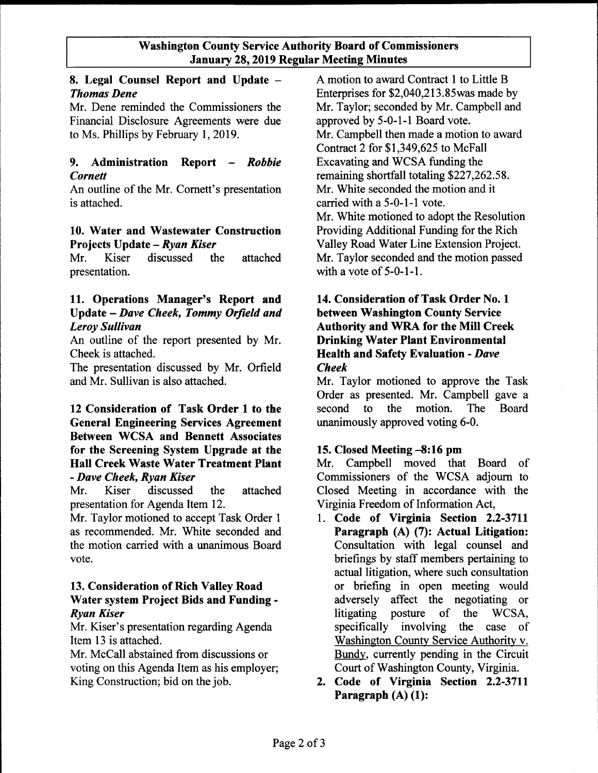### Washington County Service Authority Board of Commissioners January 28, 2019 Regular Meeting Minutes

#### 8. Legal Counsel Report and Update -*Thomas Dene*

Mr. Dene reminded the Commissioners the Financial Disclosure Agreements were due to Ms. Phillips by February 1,2019.

#### 9. Administration Report - *Robbie Cornett*

An outline of the Mr. Cornett's presentation is attached.

# 10. Water and Wastewater Construction **Projects Update –** *Ryan Kiser*<br>Mr. Kiser discussed th

Mr. Kiser discussed the attached presentation.

### 11. Operations Manager's Report and Update - *Dave Cheek, Tommy Orfield and Leroy Sullivan*

An outline of the report presented by Mr. Cheek is attached.

The presentation discussed by Mr. Orfield and Mr. Sullivan is also attached.

#### 12 Consideration of Task Order 1 to the General Engineering Services Agreement Between WCSA and Bennett Associates for the Screening System Upgrade at the Hall Creek Waste Water Treatment Plant *- Dave Cheek, Ryan Kiser*

Mr. Kiser discussed the attached presentation for Agenda Item 12.

Mr. Taylor motioned to accept Task Order 1 as recommended. Mr. White seconded and the motion carried with a unanimous Board vote.

#### 13. Consideration of Rich Valley Road Water system Project Bids and Funding-*Ryan Kiser*

Mr. Kiser's presentation regarding Agenda Item 13 is attached.

Mr. McCall abstained from discussions or voting on this Agenda Item as his employer; King Construction; bid on the job.

A motion to award Contract 1 to Little B Enterprises for \$2,040,213.85was made by Mr. Taylor; seconded by Mr. Campbell and approved by 5-0-1-1 Board vote. Mr. Campbell then made a motion to award Contract 2 for \$1,349,625 to McFall Excavating and WCSA funding the remaining shortfall totaling \$227,262.58. Mr. White seconded the motion and it carried with a 5-0-1-1 vote. Mr. White motioned to adopt the Resolution Providing Additional Funding for the Rich Valley Road Water Line Extension Project. Mr. Taylor seconded and the motion passed with a vote of 5-0-1-1.

#### 14. Consideration of Task Order No.1 between Washington County Service Authority and WRA for the Mill Creek Drinking Water Plant Environmental Health and Safety Evaluation - *Dave Cheek*

Mr. Taylor motioned to approve the Task Order as presented. Mr. Campbell gave a second to the motion. The Board unanimously approved voting 6-0.

#### 15. Closed Meeting -8:16 pm

Mr. Campbell moved that Board of Commissioners of the WCSA adjourn to Closed Meeting in accordance with the Virginia Freedom of Information Act,

- 1. Code of Virginia Section 2.2-3711 Paragraph (A) (7): Actual Litigation: Consultation with legal counsel and briefings by staff members pertaining to actual litigation, where such consultation or briefing in open meeting would adversely affect the negotiating or litigating posture of the WCSA, specifically involving the case of Washington County Service Authority v. Bundy, currently pending in the Circuit Court of Washington County, Virginia.
- 2. Code of Virginia Section 2.2-3711 Paragraph (A) (1):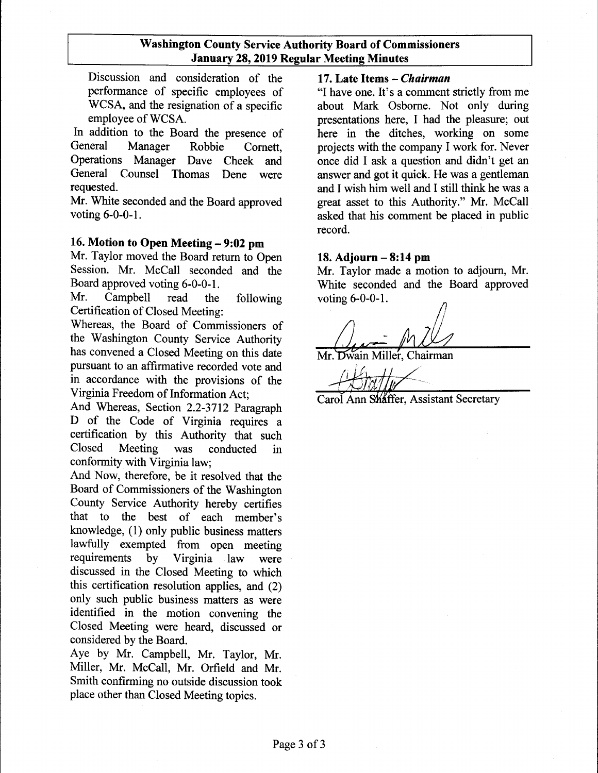#### Washington County Service Authority Board of Commissioners January 28, 2019 Regular Meeting Minutes

Discussion and consideration of the 17. Late Items - Chairman performance of specific employees of "I have one. It's a comment

General Manager Robbie Cornett, projects with the company I work for. Never Operations Manager Dave Cheek and once did I ask a question and didn't get an General Counsel Thomas Dene were answer and got it quick. He was a gentleman requested. and I wish him well and I still think he was a

#### 16. Motion to Open Meeting – 9:02 pm

Mr. Taylor moved the Board return to Open Session. Mr. McCall seconded and the Board approved voting 6-0-0-1.

Mr. Campbell read the following Certification of Closed Meeting:

Whereas, the Board of Commissioners of the Washington County Service Authority has convened a Closed Meeting on this date pursuant to an affirmative recorded vote and in accordance with the provisions of the Virginia Freedom of Information Act:

And Whereas, Section 2.2-3712 Paragraph D of the Code of Virginia requires a certification by this Authority that such Closed Meeting was conducted in conformity with Virginia law;

And Now, therefore, be it resolved that the Board of Commissioners of the Washington County Service Authority hereby certifies that to the best of each member's knowledge, (1) only public business matters lawfully exempted from open meeting requirements by Virginia law were discussed in the Closed Meeting to which this certification resolution applies, and (2) only such public business matters as were identified in the motion convening the Closed Meeting were heard, discussed or considered by the Board.

Aye by Mr. Campbell, Mr. Taylor, Mr. Miller, Mr. McCall, Mr. Orfield and Mr. Smith confirming no outside discussion took place other than Closed Meeting topics.

performance of specific employees of "I have one. It's a comment strictly from me<br>WCSA, and the resignation of a specific about Mark Osborne. Not only during WCSA, and the resignation of a specific about Mark Osborne. Not only during employee of WCSA.  $\qquad \qquad$  presentations here, I had the pleasure; out presentations here, I had the pleasure; out In addition to the Board the presence of here in the ditches, working on some Mr. White seconded and the Board approved great asset to this Authority." Mr. McCall voting 6-0-0-1.<br>asked that his comment be placed in public asked that his comment be placed in public record.

#### 18. Adjourn - 8:14 pm

Mr. Taylor made a motion to adjourn, Mr. White seconded and the Board approved voting  $6-0-0-1$ .

 $\sqrt{u} = M U$ 

Mr. Dwain Miller, Chairman

(  $\pm \pi$ 

Carol Ann Shaffer, Assistant Secretary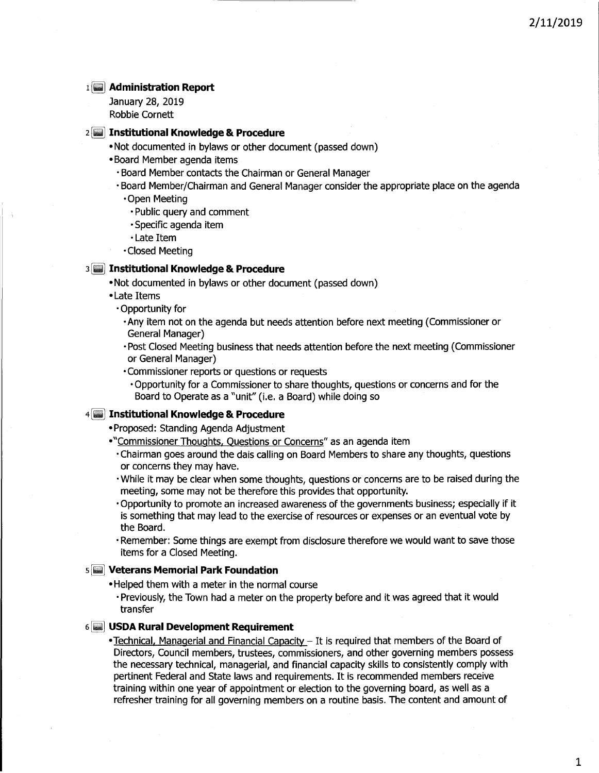#### **Administration Report**

January 28, 2019 Robbie Cornett

#### 2 **Institutional Knowledge &. Procedure**

- -Not documented in bylaws or other document (passed down)
- Board Member agenda items
	- •Board Member contacts the Chairman or General Manager
	- Board Member/Chairman and General Manager consider the appropriate place on the agenda
		- •Open Meeting
			- Public query and comment
			- •Specific agenda item
			- •late Item
	- •Closed Meeting

#### 3 **Institutional Knowledge &. Procedure**

- -Not documented in bylaws or other document (passed down)
- -Late Items

 $\mathbf{I} = \mathbf{I}$ 

- •Opportunity for
	- •Any item not on the agenda but needs attention before next meeting (Commissioner or General Manager)
	- •Post Closed Meeting business that needs attention before the next meeting (Commissioner or General Manager)
	- •Commissioner reports or questions or requests
	- •Opportunity for a Commissioner to share thoughts, questions or concerns and for the Board to Operate as a "unit" (i.e. a Board) while doing so

#### 4 **Institutional Knowledge &. Procedure**

- -Proposed: Standing Agenda Adjustment
- -"Commissioner Thoughts. Ouestions or Concerns" as an agenda item
	- •Chairman goes around the dais calling on Board Members to share any thoughts, questions or concerns they may have.
	- •While it may beclear when some thoughts, questions or concerns are to be raised during the meeting, some may not be therefore this provides that opportunity.
	- •Opportunity to promote an increased awareness of the governments business; especially if it is something that may lead to the exercise of resources or expenses or an eventual vote by the Board.
	- •Remember: Some things are exempt from disclosure therefore we would want to save those items for a Closed Meeting.

#### 5 **Veterans Memorial Park Foundation**

- Helped them with a meter in the normal course
	- •Previously, the Town had a meter on the property before and it was agreed that it would transfer

#### 6 **USDA Rural Development Requirement**

• Technical, Managerial and Financial Capacity - It is required that members of the Board of Directors, Council members, trustees, commissioners, and other governing members possess the necessary technical, managerial, and financial capacity skills to consistently comply with pertinent Federal and State laws and requirements. It is recommended members receive training within one year of appointment or election to the governing board, as well as a refresher training for all governing members on a routine basis. The content and amount of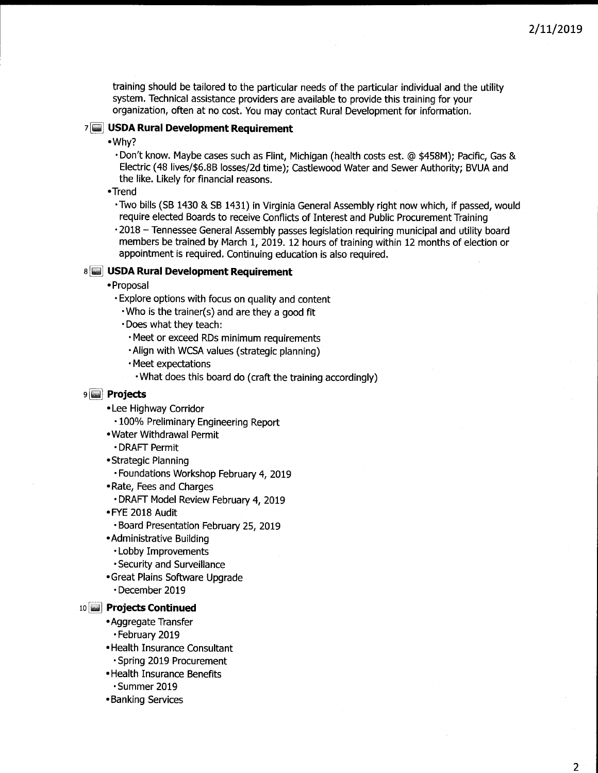training should be tailored to the particular needs of the particular individual and the utility system. Technical assistance providers are available to provide this training for your organization, often at no cost. You may contact Rural Development for information.

#### 7 **USDA Rural Development Requirement**

-Why?

•Don't know. Maybe cases such as Flint, Michigan (health costs est. @ \$458M); Pacific, Gas & Electric (48 lives/\$6.8B losses/2d time); Castlewood Water and Sewer Authority; BVUA and the like. Likely for financial reasons.

- -Trend
	- 'Two bills (SB 1430& SB 1431) in Virginia General Assembly right now which, if passed, would require elected Boards to receive Conflicts of Interest and Public Procurement Training
	- •2018- Tennessee General Assembly passes legislation requiring municipal and utility board members be trained by March 1, 2019. 12 hours of training within 12 months of election or appointment is required. Continuing education is also required.

#### 8 **USDA Rural Development Requirement**

- -Proposal
	- •Explore options with focus on quality and content
	- •Who is the trainer(s) and are they a good fit
	- •Does what they teach:
		- · Meet or exceed RDs minimum requirements
		- •Align with WCSA values (strategic planning)
		- •Meet expectations
		- •What doesthis board do (craft the training accordingly)

#### 9~ **Projects**

- Lee Highway Corridor
	- ,100% Preliminary Engineering Report
- Water Withdrawal Permit
	- •DRAFT Permit
- -Strategic Planning
	- •Foundations Workshop February 4,2019
- Rate, Fees and Charges
	- •DRAFT Model Review February 4, 2019
- -FYE 2018 Audit
	- •Board Presentation February 25, 2019
- -Administrative Building
	- •Lobby Improvements
	- •Security and Surveillance
- -Great Plains Software Upgrade
	- •December 2019

#### 10 **Projects Continued**

- -Aggregate Transfer
	- •February 2019
- Health Insurance Consultant
- Spring 2019 Procurement
- Health Insurance Benefits
	- •Summer 2019
- -Banking Services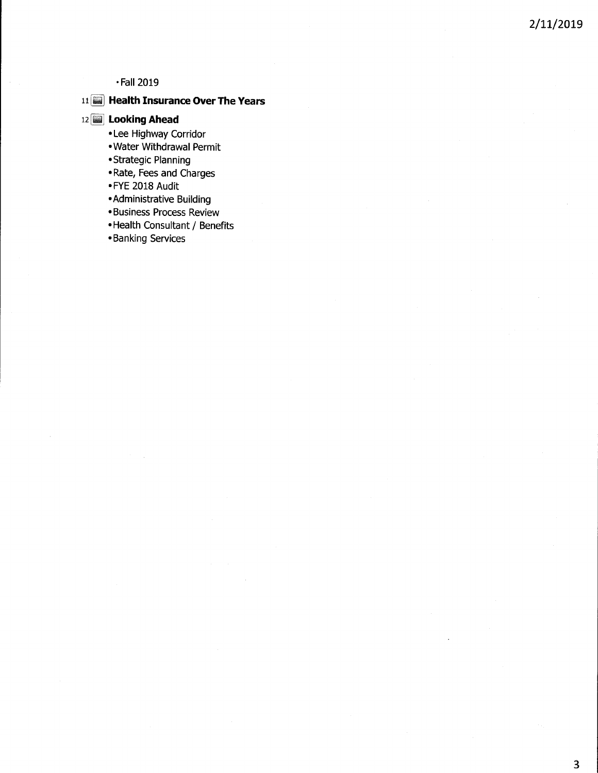•Fall 2019

## 11 **Health Insurance Over The Years**

- 12 **Looking Ahead**
	- •Lee Highway Corridor
	- •Water Withdrawal Permit
	- Strategic Planning
	- Rate, Fees and Charges
	- **·FYE** 2018 Audit
	- •Administrative Building
	- •Business Process Review
	- Health Consultant / Benefits
	- •Banking Services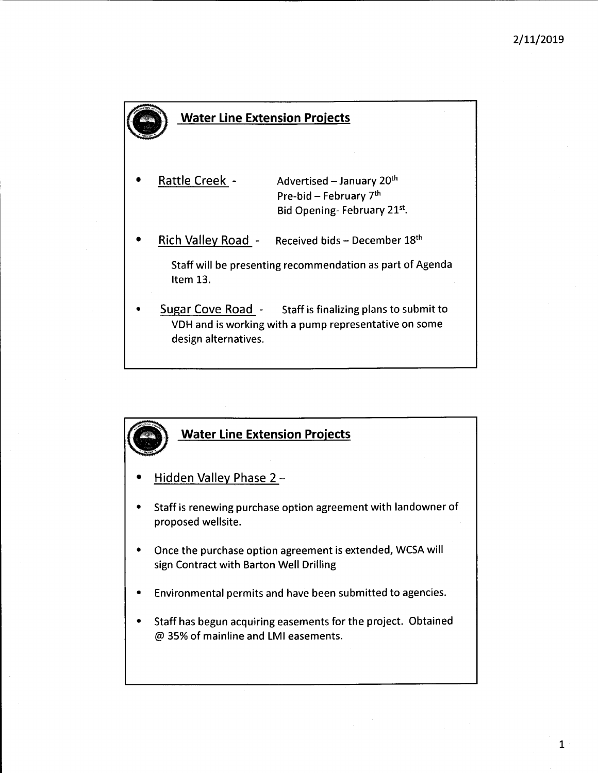### **Water Line Extension Projects**

Rattle Creek - Advertised - January 20<sup>th</sup> Pre-bid – February  $7<sup>th</sup>$ Bid Opening-February 21st.

 $Rich$  Valley Road - Received bids - December  $18<sup>th</sup>$ 

Staff will be presenting recommendation as part of Agenda Item 13.

Sugar Cove Road - Staff is finalizing plans to submit to VDH and is working with a pump representative on some design alternatives.

### **Water Line Extension Projects**

- Hidden Valley Phase 2-
- Staff is renewing purchase option agreement with landowner of proposed wellsite.
- Once the purchase option agreement is extended, WCSA will sign Contract with Barton Well Drilling
- Environmental permits and have been submitted to agencies.
- Staff has begun acquiring easements for the project. Obtained @ 35% of mainline and LMI easements.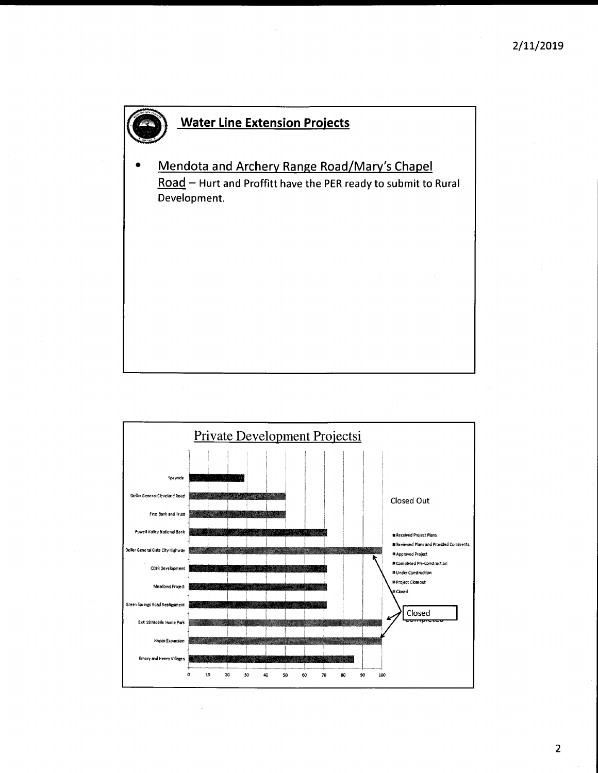

# **Water Line Extension Projects**

• Mendota and Archery Range Road/Mary's Chapel  $Road$  – Hurt and Proffitt have the PER ready to submit to Rural Development.

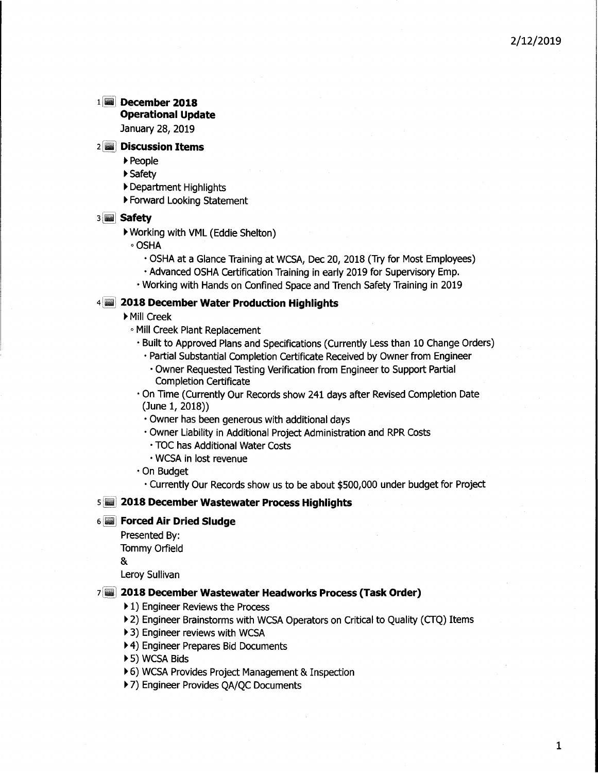#### **December 2018 Operational Update**

January 28, 2019

#### 2 **Discussion Items**

- ▶ People
- ~Safety
- Department Highlights
- Forward Looking Statement

#### 3 **safety**

- Working with VML (Eddie Shelton)
	- <sup>o</sup> OSHA
		- OSHA at a Glance Training at WCSA, Dec 20, 2018 (Try for Most Employees)
		- Advanced OSHA Certification Training in early 2019 for Supervisory Emp.
		- Working with Hands on Confined Space and Trench Safety Training in 2019

#### 4 **2018 December Water Production Highlights**

- ~Mill Creek
	- Mill Creek Plant Replacement
		- Built to Approved Plans and Specifications (Currently Less than 10 Change Orders)
			- Partial Substantial Completion Certificate Received by Owner from Engineer • Owner Requested Testing Verification from Engineer to Support Partial Completion Certificate
		- On Time (Currently Our Records show 241 days after Revised Completion Date (June1, 2018))
		- Owner has been generous with additional days
		- Owner Liability in Additional Project Administration and RPR Costs
		- TOC has Additional Water Costs
		- WCSA in lost revenue
	- On Budget
		- Currently Our Records show us to be about \$500,000 under budget for Project

#### 5 **2018 December Wastewater Process Highlights**

#### 6 **Forced Air Dried Sludge**

Presented By:

Tommy Orfield

&

Leroy Sullivan

#### 7 **2018 December Wastewater Headworks Process (Task Order)**

- ▶ 1) Engineer Reviews the Process
- ▶ 2) Engineer Brainstorms with WCSA Operators on Critical to Quality (CTQ) Items
- ▶ 3) Engineer reviews with WCSA
- 4) Engineer Prepares Bid Documents
- 5) WCSA Bids
- 6) WCSA Provides Project Management & Inspection
- ▶ 7) Engineer Provides QA/QC Documents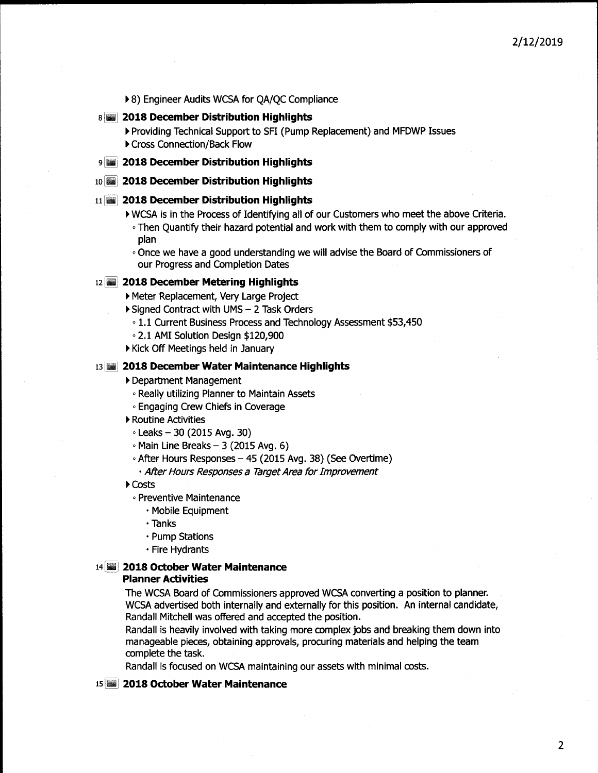#### ▶ 8) Engineer Audits WCSA for QA/QC Compliance

#### 8 **2018 December Distribution Highlights**

Providing Technical Support to SFI (Pump Replacement) and MFDWP Issues Cross Connection/Back Flow

#### 9 **2018 December Distribution Highlights**

#### 10 **2018 December Distribution Highlights**

#### 11 **2018 December Distribution Highlights**

- WCSA is in the Process of Identifying all of our Customers who meet the above Criteria.
	- o Then Quantify their hazard potential and work with them to comply with our approved plan
	- <sup>o</sup> Once we have a good understanding we will advise the Board of Commissioners of our Progress and Completion Dates

#### 12 **2018 December Metering Highlights**

- MeterReplacement, Very Large Project
- ▶ Signed Contract with UMS 2 Task Orders
	- o 1.1 Current Business Process and Technology Assessment \$53,450
- 02.1 AMI Solution Design \$120,900
- Kick Off Meetings held in January

#### 13 **2018 December Water Maintenance Highlights**

- Department Management
- <sup>o</sup> Really utilizing Planner to Maintain Assets
- <sup>o</sup> Engaging Crew Chiefs in Coverage

#### Routine Activities

- $\circ$  Leaks 30 (2015 Avg. 30)
- $\cdot$  Main Line Breaks 3 (2015 Avg. 6)
- $\circ$  After Hours Responses 45 (2015 Avg. 38) (See Overtime)

· After Hours Responses a Target Area for Improvement

#### ~Costs

- <sup>o</sup> Preventive Maintenance
	- Mobile EqUipment
	- Tanks
	- Pump Stations
	- Fire Hydrants

#### 14 **2018 October Water Maintenance Planner Activities**

The WCSA Board of Commissioners approved WCSA converting a position to planner. WCSA advertised both internally and externally for this position. An internal candidate, Randall Mitchell was offered and accepted the position.

Randall is heavily involved with taking more complex jobs and breaking them down into manageable pieces, obtaining approvals, procuring materials and helping the team complete the task.

Randall is focused on WCSA maintaining our assets with minimal costs.

#### 15 **2018 October Water Maintenance**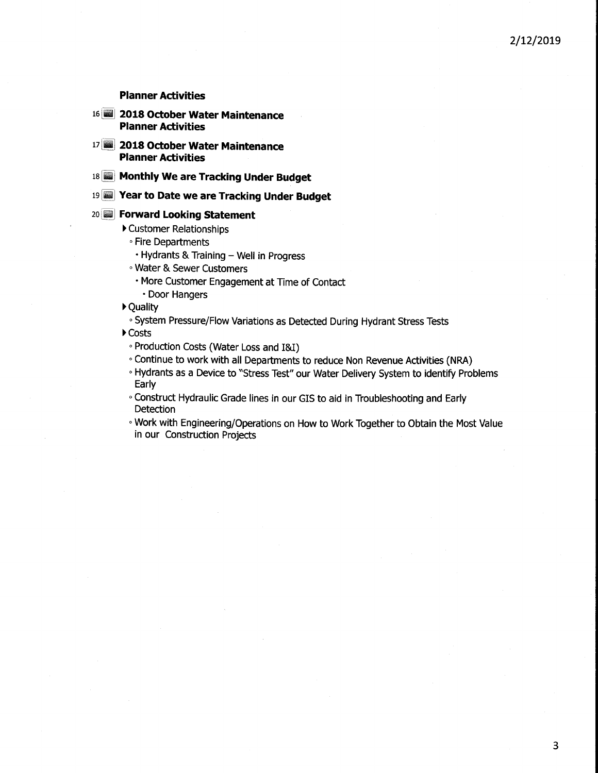#### **Planner Activities**

- 16 **2018 October Water Maintenance Planner Activities**
- 17 **2018 October Water Maintenance Planner Activities**
- 18 **Monthly We are Tracking Under Budget**
- 19 **Year to Date we are Tracking Under Budget**

#### 20 **Forward Looking Statement**

- Customer Relationships
	- <sup>o</sup> Fire Departments
	- Hydrants & Training Well in Progress
	- <sup>o</sup> Water& Sewer Customers
	- More Customer Engagement at Time of Contact
		- Door Hangers
- ~Quality
- <sup>o</sup> System Pressure/Flow Variations as Detected During Hydrant Stress Tests
- ~Costs
	- <sup>o</sup> Production Costs (Water Loss and I&I)
	- <sup>o</sup> Continue to work with all Departments to reduce Non Revenue Activities (NRA)
	- o Hydrants as a Device to "Stress Test" our Water Delivery System to identify Problems Early
	- **Construct Hydraulic Grade lines in our GIS to aid in Troubleshooting and Early Detection**
	- o Work with Engineering/Operations on How to Work Together to Obtain the Most Value in our Construction Projects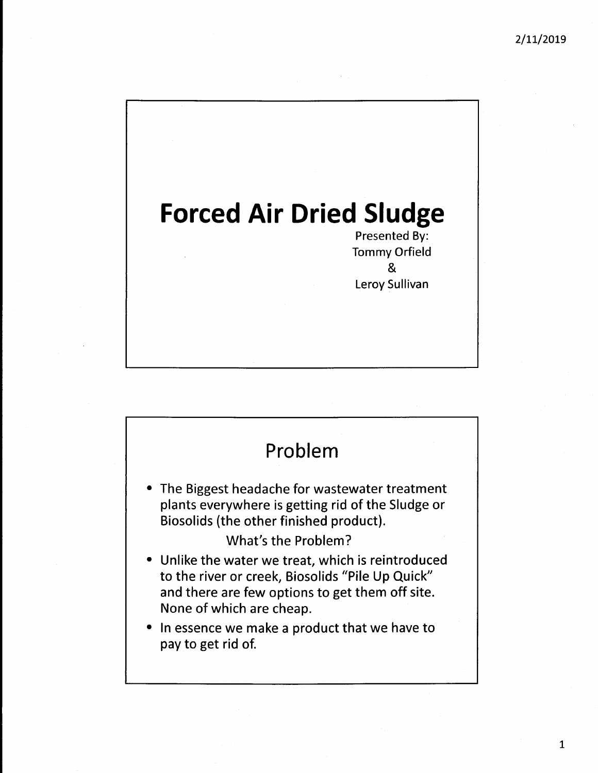

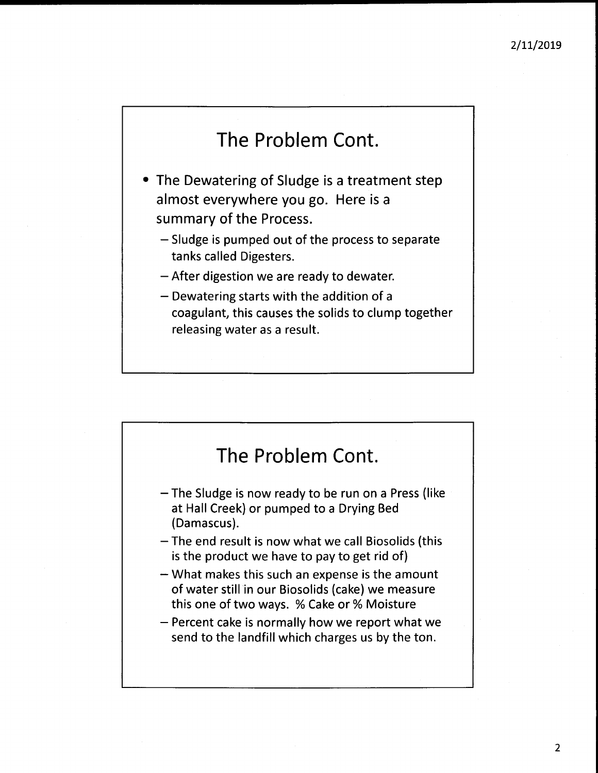# **The Problem Cant.**

- The Dewatering of Sludge is a treatment step almost everywhere you go. Here is a summary of the Process.
	- Sludge is pumped out of the process to separate tanks called Digesters.
	- After digestion we are ready to dewater.
	- $-$  Dewatering starts with the addition of a coagulant, this causes the solids to clump together releasing water as a result.

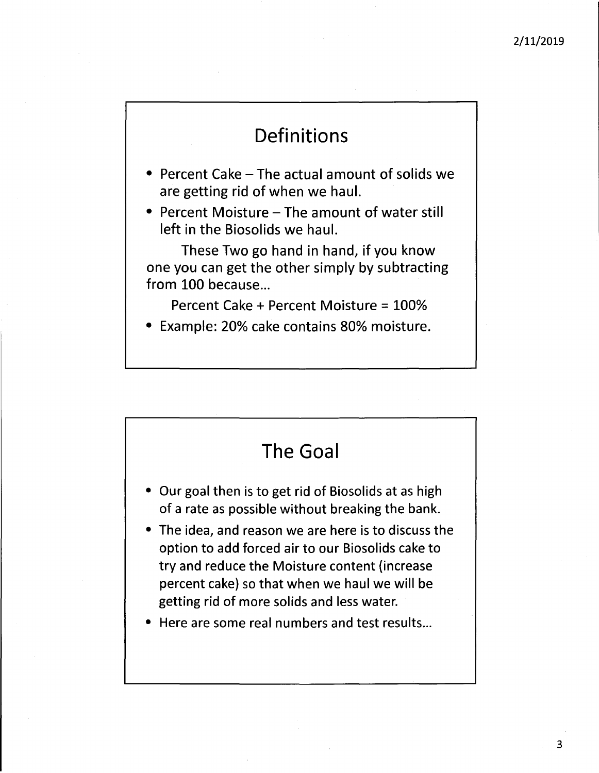

- Percent Cake  $-$  The actual amount of solids we are getting rid of when we haul.
- Percent Moisture The amount of water still left in the Biosolids we haul.

These Two go hand in hand, if you know one you can get the other simply by subtracting from 100 because...

Percent Cake <sup>+</sup> Percent Moisture =100%

• Example: 20% cake contains 80% moisture.

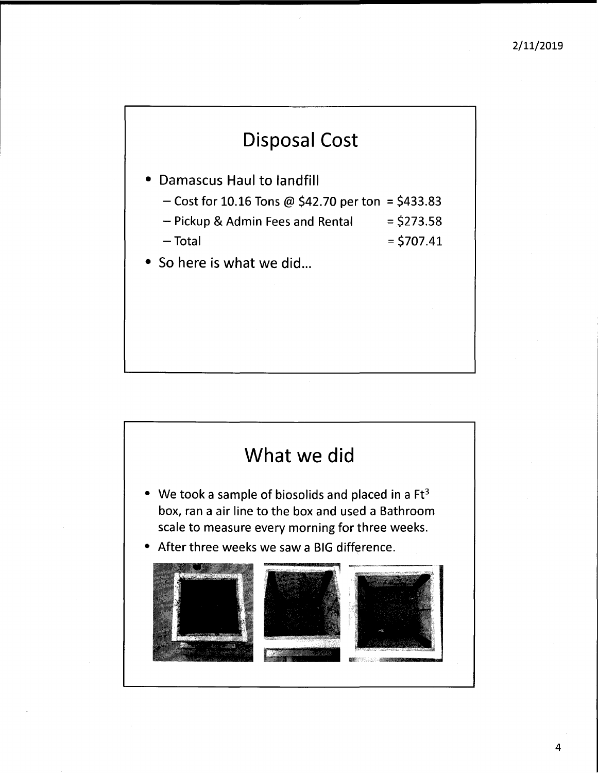

• Damascus Haul to landfill

 $-$  Cost for 10.16 Tons @ \$42.70 per ton = \$433.83

 $-$  Pickup & Admin Fees and Rental  $=$  \$273.58

 $-$  Total  $=$  \$707.41

• So here is what we did...

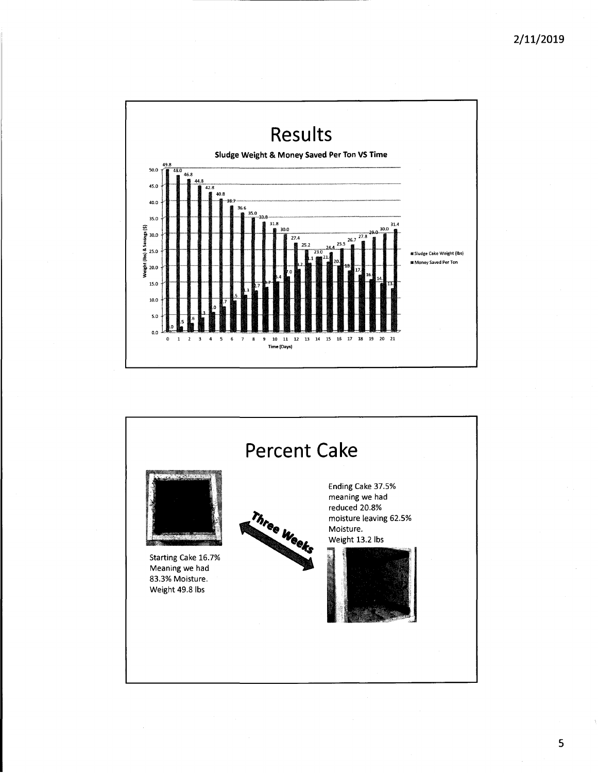



5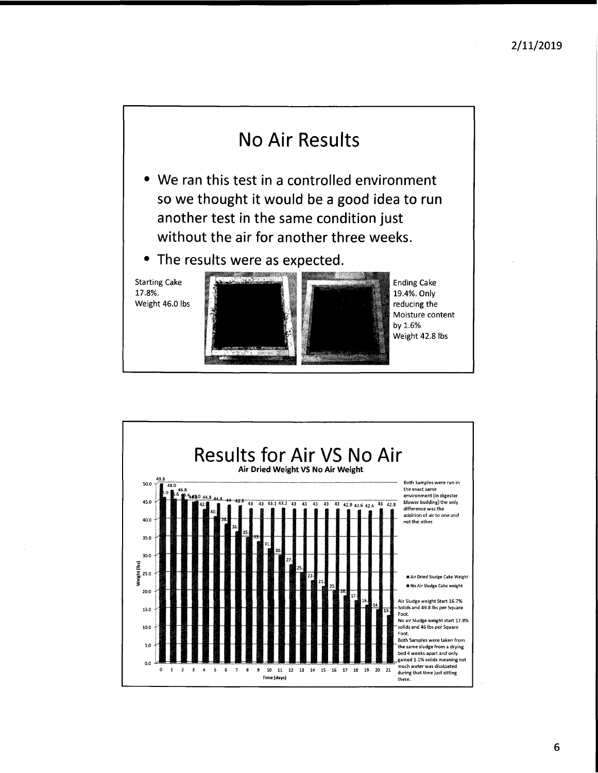

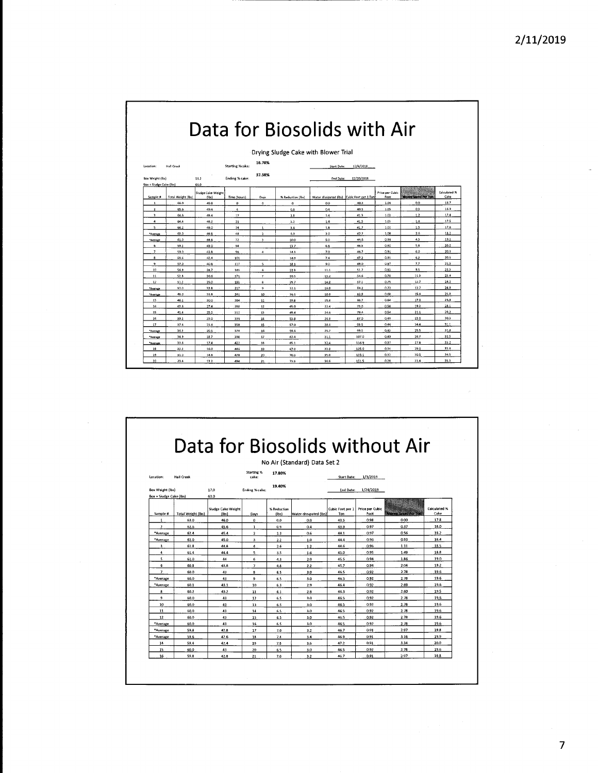|                                                    |                    |                             |                 |                         |                   | Data for Biosolids with Air                 |            |                         |                     |                      |
|----------------------------------------------------|--------------------|-----------------------------|-----------------|-------------------------|-------------------|---------------------------------------------|------------|-------------------------|---------------------|----------------------|
|                                                    |                    |                             |                 |                         |                   | Drying Sludge Cake with Blower Trial        |            |                         |                     |                      |
| Location:                                          | <b>Hall Creek</b>  |                             | Starting %cake: | 16.70%                  |                   | Start Date:                                 | 12/6/2018  |                         |                     |                      |
| Box Weight (lbs)<br><b>Box + Sludge Cake (lbs)</b> |                    | 16.2<br>66.0                | Ending % cake:  | 37.50%                  |                   | End Date:                                   | 12/20/2018 |                         |                     |                      |
| Sample #                                           | Total Weight (lbs) | Sludge Cake Weight<br>(lbs) | Time [hours]    | <b>Days</b>             | % Reduction (lbs) | Water dissipated (Ibs) Cubic Feet per 1 Ton |            | Price per Cubic<br>Foot | Money Saved Par Ton | Calculated %<br>Cake |
| $\mathbf{I}$                                       | 66.0               | 49.8                        | $\mathbf{0}$    | $\mathbf{D}$            | $\mathbf{o}$      | 0.0                                         | 40.2       | 1.06                    | 0.0                 | 16.7                 |
| $\overline{\mathbf{z}}$                            | 65.6               | 49.4                        | 4               |                         | 0.8               | 0.4                                         | 40.5       | 1.05                    | 0.3                 | 16.9                 |
| $\overline{\mathbf{3}}$                            | 64,6               | 48.4                        | 17              |                         | 2.8               | 1.4                                         | 413        | 1.03                    | 1.2                 | 17.4                 |
| $\ddot{\phantom{a}}$                               | 64.4               | 48.2                        | 21              |                         | 3.2               | 1.6                                         | 41.5       | 1.03                    | 1.4                 | 17.5                 |
| 5.                                                 | 64.2               | 48.0                        | 24              | $\mathbf{1}$            | 3.6               | 1.8                                         | 41.7       | 1.02                    | 1.5                 | 17.6                 |
| *Average                                           | 63.0               | 46.8                        | 48              | $\overline{2}$          | 6.0               | 3.0                                         | 42.7       | 1.00                    | 2.6                 | 18.2                 |
| *Average                                           | 61.0               | 44.8                        | 72              | $\overline{\mathbf{3}}$ | 10.0              | 5.0                                         | 44.6       | 0.96                    | 4,3                 | 19.2                 |
| 6                                                  | 59.2               | 43.0                        | 94              |                         | 13.7              | 6.8                                         | 46.5       | 0.92                    | 5.8                 | 20.2                 |
| $\mathbf{z}$                                       | 59.0               | 42.8                        | 96              | $\ddot{4}$              | 14.1              | 7.0                                         | 46.7       | 0.91                    | 6.0                 | 20.3                 |
| s                                                  | 58.6               | 42.4                        | 101             |                         | 14.9              | 7.4                                         | 47.2       | 0.91                    | 6.3                 | 20.5                 |
| 9                                                  | 57.0               | 40.8                        | 117             | 5.                      | 18.1              | 9.0                                         | 49.0       | 0.87                    | 7.7                 | 21.3                 |
| 10                                                 | 54.9               | 38.7                        | 145             | 6                       | 22.3              | 11.1                                        | 51.7       | 0.83                    | 9.5                 | 22.3                 |
| 11                                                 | S <sub>2.8</sub>   | 36.6                        | 171             | $\mathcal{I}$           | 26.5              | 13.2                                        | 54.6       | 0.78                    | 11.3                | 23.4                 |
| 12                                                 | 51.2               | 35.0                        | 193             | $\bf8$                  | 29.7              | 14.8                                        | 57.1       | 0.75                    | 12.7                | 24.2                 |
| *Average                                           | 50.0               | 33.8                        | 217             | $\mathbf{9}$            | 32.1              | 16.0                                        | 59.2       | 0.72                    | 13.7                | 24.8                 |
| *Average                                           | 48.0               | 31.8                        | 241             | 10                      | 36.1              | 18.0                                        | 62.9       | 0.68                    | 15.4                | 25.8                 |
| 13                                                 | 46.2               | 30.0                        | 264             | $11\,$                  | 39.8              | 19.8                                        | 66.7       | 0.64                    | 17.0                | 26.8                 |
| 14                                                 | 43.6               | 27.4                        | 288             | 12                      | 45.0              | 22.4                                        | 73.0       | 0.58                    | 19.2                | 28.1                 |
| <b>15</b>                                          | 41.4               | 25.2                        | 312             | 13                      | 49.4              | 24.6                                        | 79.4       | 0.54                    | 21.1                | 29.2                 |
| 16                                                 | 39.2               | 23.0                        | 336             | 14                      | 53.8              | 26.8                                        | 87.0       | 0.49                    | 23.0                | 30.3                 |
| 17                                                 | 37.6               | 21.4                        | 350             | 15                      | \$7.0             | 28.4                                        | 93.5       | 0.46                    | 24.4                | 31.1                 |
| *Average                                           | 36.3               | 20.1                        | 374             | 16                      | 59.6              | 29.7                                        | 99.5       | 0.43                    | 25.5                | 31.8                 |
| *Average                                           | 34.9               | 18.7                        | 398             | 17                      | 62.4              | 31.1                                        | 107.0      | 0.40                    | 26.7                | 32.5                 |
| *Average                                           | 33.6               | 17.4                        | 422             | 18                      | 65.1              | 32.4                                        | 114.9      | 0.37                    | 27.8                | 33.2                 |
| 18                                                 | 32.2               | 16.0                        | 446             | 19                      | 67.9              | 33.8                                        | 125.0      | 0.34                    | 29.0                | 33.9                 |
| 19                                                 | 31.0               | 14.8                        | 470             | 20                      | 70.3              | 35.0                                        | 135.1      | 0.32                    | 30.0                | 34.5                 |
| 20                                                 | 29.4               | 13.2                        | 494             | 21                      | 73.5              | 36.6                                        | 151.5      | 0.28                    | 31.4                | 35.3                 |

| Data for Biosolids without Air |  |
|--------------------------------|--|
| No Air (Standard) Data Set 2   |  |

| <b>Box Weight (lbs)</b>        |                           | 17.0                               | Ending % cake:          | 19.40%               |                        | <b>End Date:</b>        | 1/24/2019               |                                                       |                             |
|--------------------------------|---------------------------|------------------------------------|-------------------------|----------------------|------------------------|-------------------------|-------------------------|-------------------------------------------------------|-----------------------------|
| <b>Box + Sludge Cake (lbs)</b> |                           | 63.0                               |                         |                      |                        |                         |                         |                                                       |                             |
| Sample #                       | <b>Total Weight (lbs)</b> | <b>Sludge Cake Weight</b><br>(lbs) | Days                    | % Reduction<br>(lbs) | Water dissipated (lbs) | Cubic Feet per 1<br>Ton | Price per Cubic<br>Foot | <b>Maria Maria Alexa</b><br>.<br>Morey Saved Per Ton. | <b>Calculated %</b><br>Cake |
| $\mathbf{1}$                   | 63.0                      | 46.0                               | 0                       | 0.0                  | 0.0                    | 43.5                    | 0.98                    | 0.00                                                  | 17.8                        |
| $\overline{2}$                 | 62.6                      | 45.6                               | $\mathbf{1}$            | 0.9                  | 0.4                    | 43.9                    | 0.97                    | 0.37                                                  | 18.0                        |
| *Average                       | 62.4                      | 45.4                               | $\mathbf{2}$            | 1.3                  | 0,6                    | 44.1                    | 0.97                    | 0.56                                                  | 18.2                        |
| *Average                       | 62.0                      | 45.0                               | $\overline{\mathbf{3}}$ | 2.2                  | $1.0$                  | 44.4                    | 0.96                    | 0.93                                                  | 18.4                        |
| 3                              | 61.8                      | 44.8                               | $\overline{4}$          | 2.6                  | 1.2                    | 44.6                    | 0.96                    | 1.11                                                  | 18.5                        |
| $\ddot{\phantom{a}}$           | 61.4                      | 44.4                               | s.                      | 3.5                  | 1.6                    | 45.0                    | 0.95                    | 1.49                                                  | 18.8                        |
| 5                              | 61.0                      | 44                                 | 6                       | 4.3                  | 2.0                    | 45.5                    | 0.94                    | 1.86                                                  | 19.0                        |
| 6                              | 60.8                      | 43.8                               | $\overline{7}$          | 4.8                  | 2.2                    | 45.7                    | 0.94                    | 2.04                                                  | 19.2                        |
| $\overline{7}$                 | 60.0                      | 43                                 | 8                       | 6.5                  | 3.0                    | 46.5                    | 0.92                    | 2.78                                                  | 19.6                        |
| *Average                       | 60.0                      | 43                                 | 9                       | 6.5                  | 3.0                    | 46.5                    | 0.92                    | 2.78                                                  | 19.6                        |
| *Average                       | 60.1                      | 43.1                               | 10                      | 6.3                  | 2.9                    | 46.4                    | 0.92                    | 2.69                                                  | 19.6                        |
| 8                              | 60.2                      | 43.2                               | 11                      | 6.1                  | 2.8                    | 46.3                    | 0.92                    | 2.60                                                  | 19.5                        |
| 9                              | 60.0                      | 43                                 | $12\,$                  | 6.5                  | 3.0                    | 46.5                    | 0.92                    | 2.78                                                  | 19.6                        |
| 10                             | 60.0                      | 43                                 | 13                      | 6.5                  | 3.0                    | 46.5                    | 0.92                    | 2.78                                                  | 19.6                        |
| 11                             | 60.0                      | 43                                 | 14                      | 6.5                  | 3.0                    | 46.5                    | 0.92                    | 2.78                                                  | 19.6                        |
| 12                             | 60.0                      | 43                                 | 15                      | 6.5                  | 3.0                    | 46.5                    | 0.92                    | 2.78                                                  | 19.6                        |
| *Average                       | 60.0                      | 43                                 | 16                      | 6.5                  | 3.0                    | 46.5                    | 0.92                    | 2.78                                                  | 19.6                        |
| *Average                       | 59.8                      | 42.8                               | 17                      | 7.0                  | 3.2                    | 46.7                    | 0.91                    | 2.97                                                  | 19.8                        |
| *Average                       | 59.6                      | 42.6                               | 18                      | 7,4                  | 3,4                    | 46.9                    | 0.91                    | 3.16                                                  | 19.9                        |
| 14                             | 59.4                      | 42.4                               | 19                      | 7.8                  | 3,6                    | 47.2                    | 0.91                    | 3.34                                                  | 20.0                        |
| 15                             | 60.0                      | 43                                 | 20                      | 6.5                  | 3,0                    | 46.5                    | 0.92                    | 2.78                                                  | 19.6                        |
| 16                             | 59.8                      | 42.8                               | 21                      | 7.0                  | 3.2                    | 46.7                    | 0.91                    | 2.97                                                  | 19.8                        |

7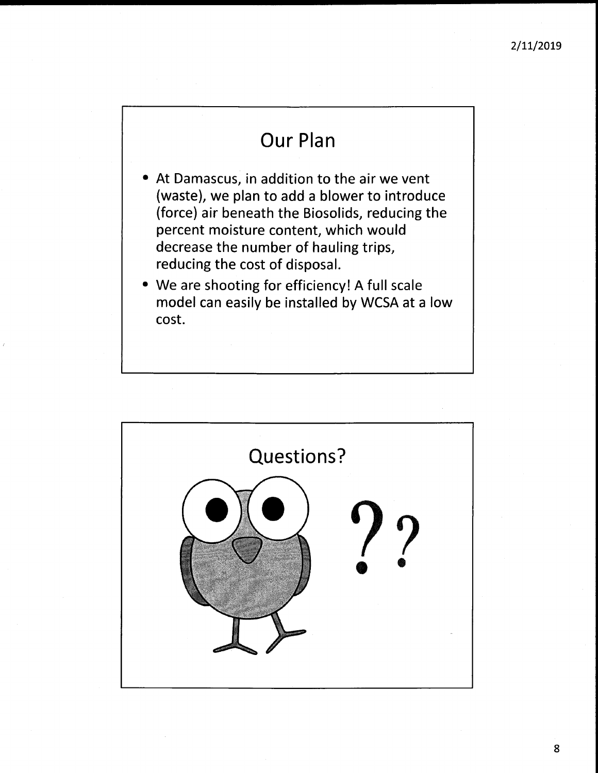# **Our Plan**

• At Damascus, in addition to the air we vent (waste), we plan to add a blower to introduce (force) air beneath the Biosolids, reducing the percent moisture content, which would decrease the number of hauling trips, reducing the cost of disposal.

• We are shooting for efficiency! A full scale model can easily be installed by WCSA at a low cost.

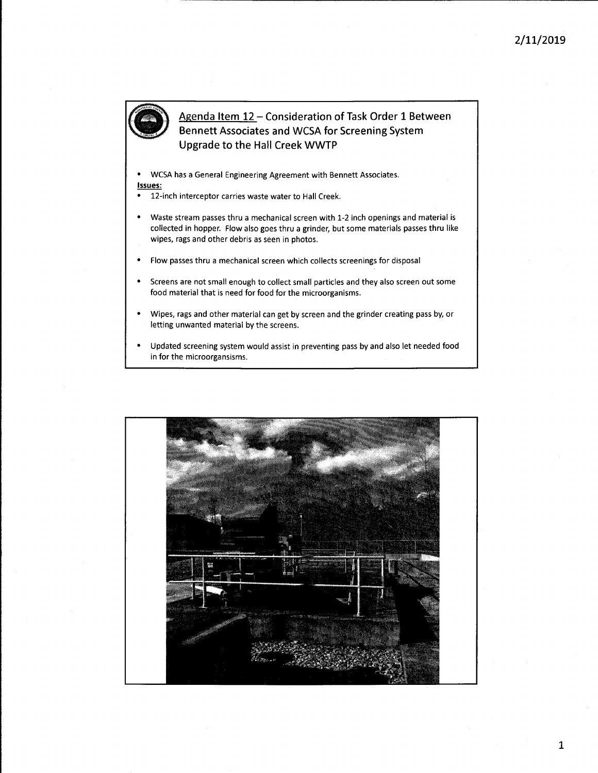

**Agenda Item 12 - Consideration of Task Order 1 Between Bennett Associates and WCSA for Screening System Upgrade to the Hall Creek WWTP**

- WCSA has a General Engineering Agreement with Bennett Associates. **Issues:**
- 12-inch interceptor carries waste water to Hall Creek.
- Waste stream passes thru a mechanical screen with 1-2 inch openings and material is collected in hopper. Flow also goes thru a grinder, but some materials passes thru like wipes, rags and other debris as seen in photos.
- Flow passesthru a mechanical screen which collects screenings for disposal
- Screens are not small enough to collect small particles and they also screen out some food material that is need for food for the microorganisms.
- Wipes, rags and other material can get by screen and the grinder creating pass by, or letting unwanted material by the screens.
- Updated screening system would assist in preventing pass by and also let needed food in for the microorgansisms.

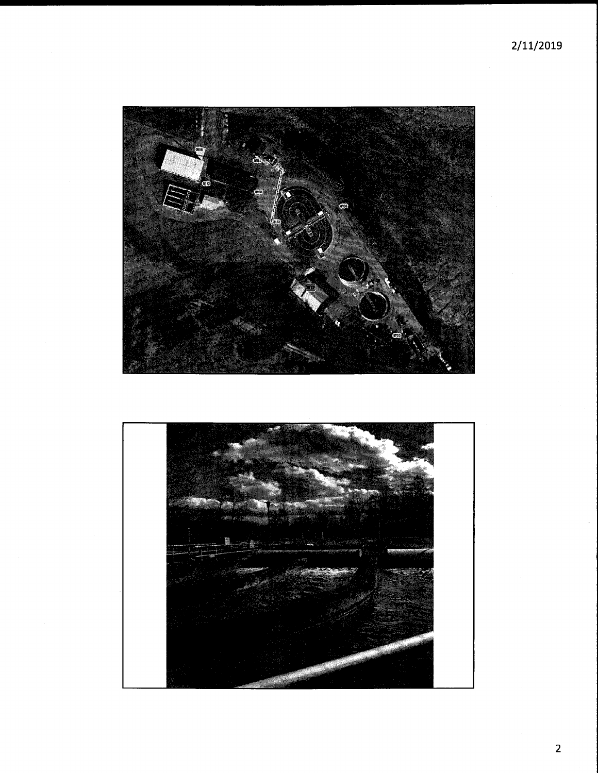



2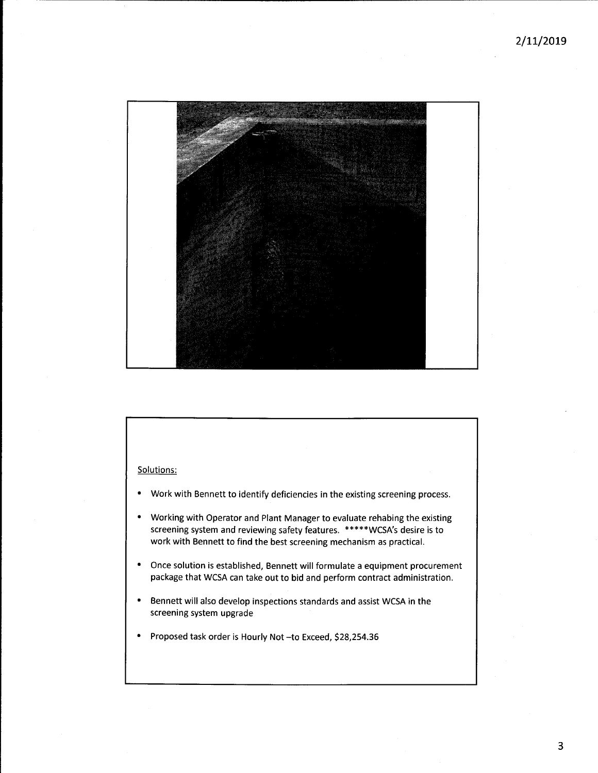

#### Solutions:

- Work with Bennett to identify deficiencies in the existing screening process.
- Working with Operator and Plant Manager to evaluate rehabing the existing screening system and reviewing safety features. \*\*\*\*\*WCSA's desire is to work with Bennett to find the best screening mechanism as practical.
- Once solution is established, Bennett will formulate a equipment procurement package that WCSA can take out to bid and perform contract administration.
- Bennett will also develop inspections standards and assist WCSA in the screening system upgrade
- Proposed task order is Hourly Not -to Exceed, \$28,254.36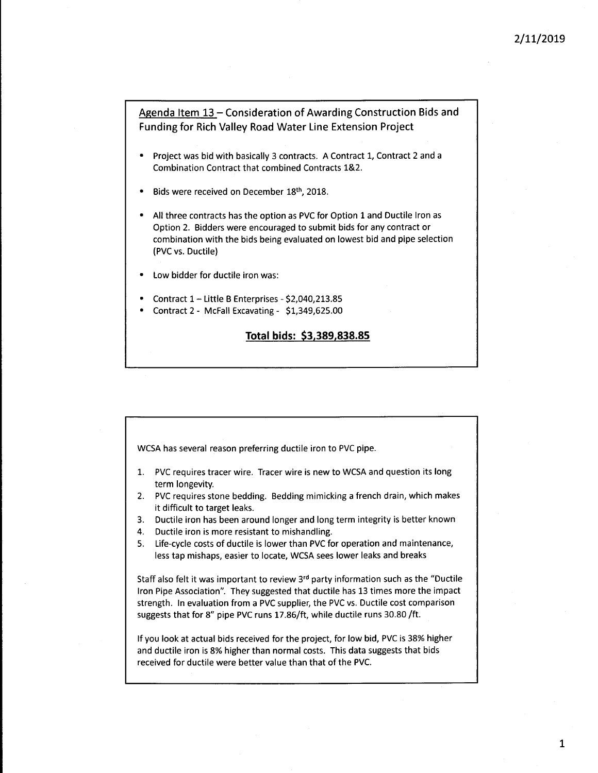Agenda Item 13 - Consideration of Awarding Construction Bids and Funding for Rich Valley Road Water Line Extension Project

- Project was bid with basically 3 contracts. A Contract 1, Contract 2 and a Combination Contract that combined Contracts 1&2.
- Bids were received on December 18<sup>th</sup>, 2018.
- All three contracts has the option as PVC for Option 1 and Ductile Iron as Option 2. Bidders were encouraged to submit bids for any contract or combination with the bids being evaluated on lowest bid and pipe selection (PVC vs. Ductile)
- Low bidder for ductile iron was:
- Contract 1- Little B Enterprises \$2,040,213.85
- Contract 2 McFall Excavating \$1,349,625.00

#### **Total bids: \$3,389,838.85**

WCSA has several reason preferring ductile iron to PVC pipe.

- 1. PVC requires tracer wire. Tracer wire is new to WCSA and question its long term longevity.
- 2. PVC requires stone bedding. Bedding mimicking a french drain, which makes it difficult to target leaks.
- 3. Ductile iron has been around longer and long term integrity is better known
- 4. Ductile iron is more resistant to mishandling.
- 5. Life-cycle costs of ductile is lower than PVC for operation and maintenance, less tap mishaps, easier to locate, WCSA sees lower leaks and breaks

Staff also felt it was important to review 3<sup>rd</sup> party information such as the "Ductile Iron Pipe Association". They suggested that ductile has 13 times more the impact strength. In evaluation from a PVC supplier, the PVC vs. Ductile cost comparison suggests that for 8" pipe PVC runs 17.86/ft, while ductile runs 30.80 /ft.

If you look at actual bids received for the project, for low bid, PVC is 38% higher and ductile iron is 8% higher than normal costs. This data suggests that bids received for ductile were better value than that of the Pvc.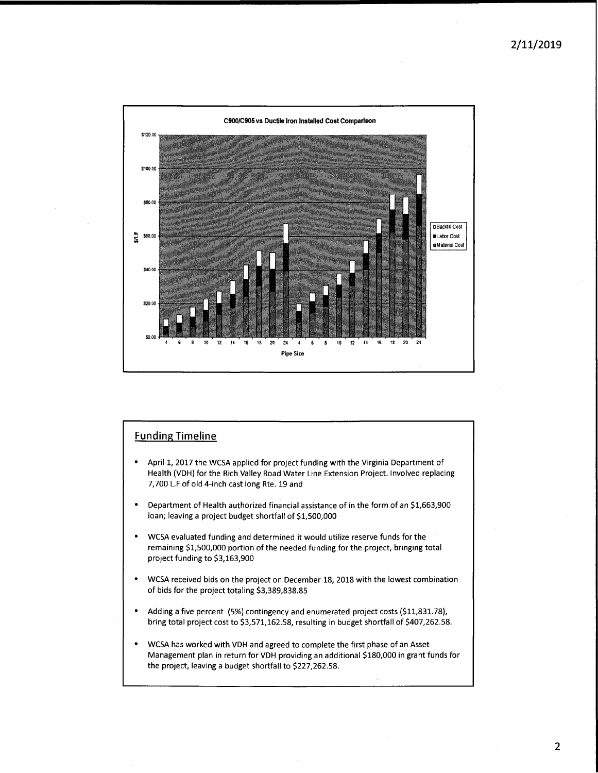

#### **Funding Timeline**

- April 1, 2017 the WCSA applied for project funding with the Virginia Department of Health (VDH) for the Rich Valley Road Water Line Extension Project. Involved replacing 7,700 L.F of old 4-inch cast long Rte. 19 and
- Department of Health authorized financial assistance of in the form of an \$1,663,900 loan; leaving a project budget shortfall of \$1,500,000
- WCSA evaluated funding and determined it would utilize reserve funds for the remaining \$1,500,000 portion of the needed funding for the project, bringing total project funding to \$3,163,900
- WCSA received bids on the project on December 18, 2018 with the lowest combination of bids for the project totaling \$3,389,838.85
- Adding a five percent (5%) contingency and enumerated project costs (\$11,831.78), bring total project cost to \$3,571,162.58, resulting in budget shortfall of \$407,262.58.
- WCSA has worked with VDH and agreed to complete the first phase of an Asset Management plan in return for VDH providing an additional \$180,000 in grant funds for the project, leaving a budget shortfall to \$227,262.58.